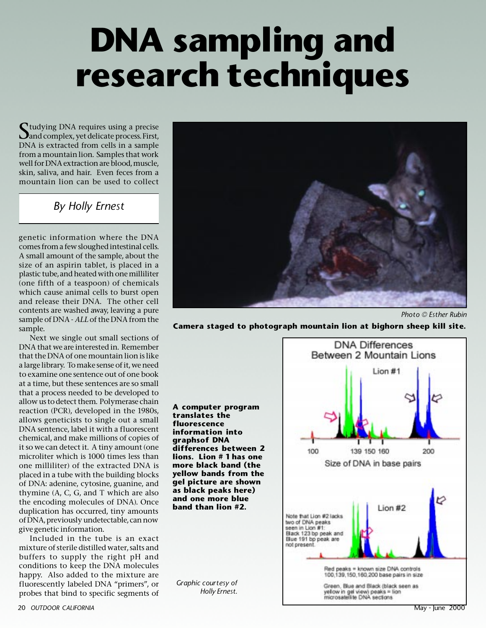## **DNA sampling and research techniques**

 $\bigcap$  tudying DNA requires using a precise **D**and complex, yet delicate process. First, DNA is extracted from cells in a sample from a mountain lion. Samples that work well for DNA extraction are blood, muscle, skin, saliva, and hair. Even feces from a mountain lion can be used to collect

## *By Holly Ernest*

genetic information where the DNA comes from a few sloughed intestinal cells. A small amount of the sample, about the size of an aspirin tablet, is placed in a plastic tube, and heated with one milliliter (one fifth of a teaspoon) of chemicals which cause animal cells to burst open and release their DNA. The other cell contents are washed away, leaving a pure sample of DNA - *ALL* of the DNA from the sample.

Next we single out small sections of DNA that we are interested in. Remember that the DNA of one mountain lion is like a large library. To make sense of it, we need to examine one sentence out of one book at a time, but these sentences are so small that a process needed to be developed to allow us to detect them. Polymerase chain reaction (PCR), developed in the 1980s, allows geneticists to single out a small DNA sentence, label it with a fluorescent chemical, and make millions of copies of it so we can detect it. A tiny amount (one microliter which is 1000 times less than one milliliter) of the extracted DNA is placed in a tube with the building blocks of DNA: adenine, cytosine, guanine, and thymine (A, C, G, and T which are also the encoding molecules of DNA). Once duplication has occurred, tiny amounts of DNA, previously undetectable, can now give genetic information.

Included in the tube is an exact mixture of sterile distilled water, salts and buffers to supply the right pH and conditions to keep the DNA molecules happy. Also added to the mixture are fluorescently labeled DNA "primers", or probes that bind to specific segments of



*Photo © Esther Rubin*

**Camera staged to photograph mountain lion at bighorn sheep kill site.**

**A computer program translates the fluorescence information into graphsof DNA differences between 2 lions. Lion # 1 has one more black band (the yellow bands from the gel picture are shown as black peaks here) and one more blue band than lion #2.**

*Graphic courtesy of Holly Ernest.*